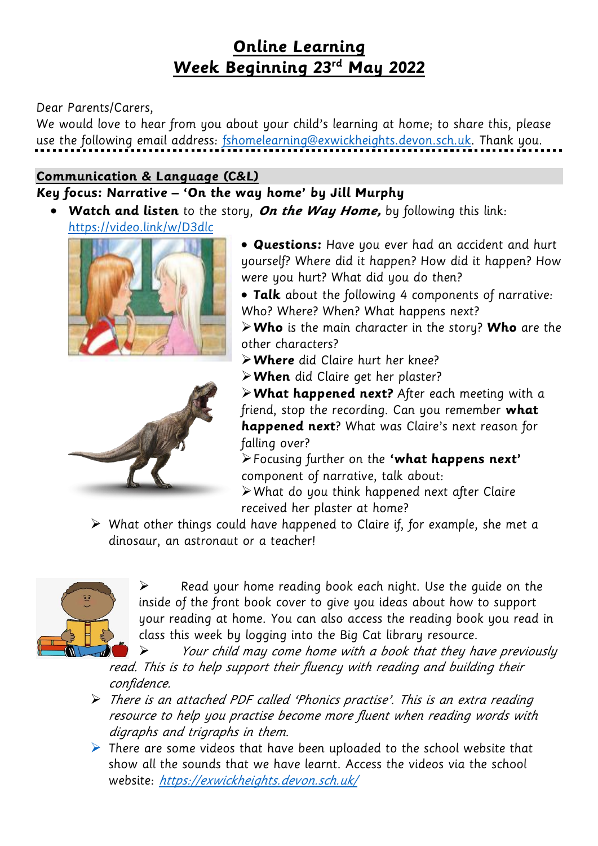## **Online Learning Week Beginning 23rd May 2022**

#### Dear Parents/Carers,

We would love to hear from you about your child's learning at home; to share this, please use the following email address: [fshomelearning@exwickheights.devon.sch.uk.](mailto:fshomelearning@exwickheights.devon.sch.uk) Thank you.

#### **Communication & Language (C&L)**

## **Key focus: Narrative – 'On the way home' by Jill Murphy**

**Watch and listen** to the story, **On the Way Home,** by following this link:

<https://video.link/w/D3dlc>





- **Questions:** Have you ever had an accident and hurt yourself? Where did it happen? How did it happen? How were you hurt? What did you do then?
- **Talk** about the following 4 components of narrative: Who? Where? When? What happens next?

**Who** is the main character in the story? **Who** are the other characters?

**Where** did Claire hurt her knee?

**When** did Claire get her plaster?

**What happened next?** After each meeting with a friend, stop the recording. Can you remember **what happened next**? What was Claire's next reason for falling over?

Focusing further on the **'what happens next'** component of narrative, talk about:

What do you think happened next after Claire received her plaster at home?

 $\triangleright$  What other things could have happened to Claire if, for example, she met a dinosaur, an astronaut or a teacher!



 Read your home reading book each night. Use the guide on the inside of the front book cover to give you ideas about how to support your reading at home. You can also access the reading book you read in class this week by logging into the Big Cat library resource.

 Your child may come home with a book that they have previously read. This is to help support their fluency with reading and building their confidence.

- There is an attached PDF called 'Phonics practise'. This is an extra reading resource to help you practise become more fluent when reading words with digraphs and trigraphs in them.
- $\triangleright$  There are some videos that have been uploaded to the school website that show all the sounds that we have learnt. Access the videos via the school website: <https://exwickheights.devon.sch.uk/>